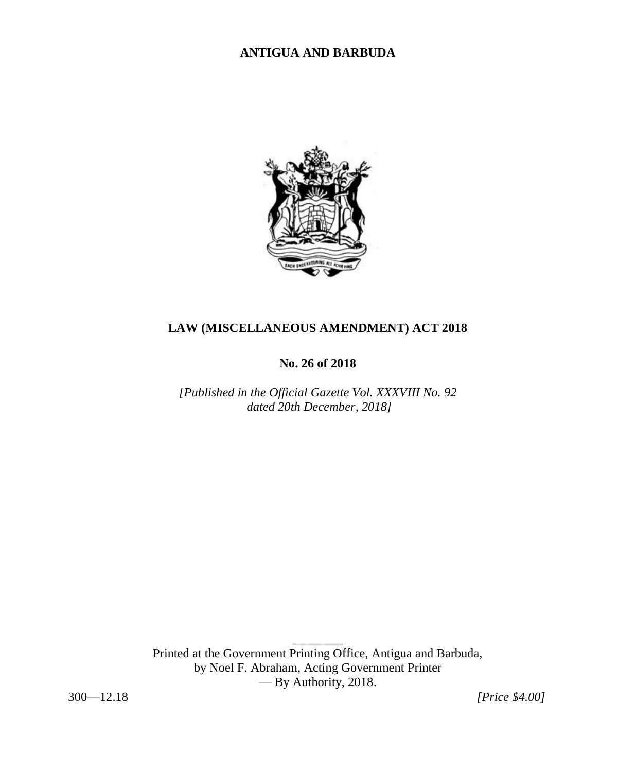# **ANTIGUA AND BARBUDA**



# **LAW (MISCELLANEOUS AMENDMENT) ACT 2018**

**No. 26 of 2018**

*[Published in the Official Gazette Vol. XXXVIII No. 92 dated 20th December, 2018]* 

Printed at the Government Printing Office, Antigua and Barbuda, by Noel F. Abraham, Acting Government Printer — By Authority, 2018.

 $\overline{\phantom{a}}$ 

300—12.18 *[Price \$4.00]*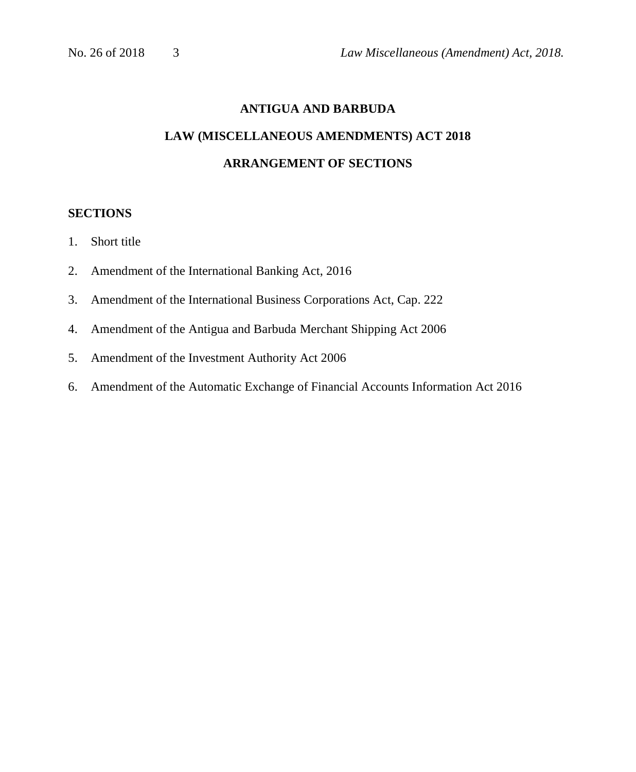# **ANTIGUA AND BARBUDA LAW (MISCELLANEOUS AMENDMENTS) ACT 2018 ARRANGEMENT OF SECTIONS**

# **SECTIONS**

- 1. Short title
- 2. Amendment of the International Banking Act, 2016
- 3. Amendment of the International Business Corporations Act, Cap. 222
- 4. Amendment of the Antigua and Barbuda Merchant Shipping Act 2006
- 5. Amendment of the Investment Authority Act 2006
- 6. Amendment of the Automatic Exchange of Financial Accounts Information Act 2016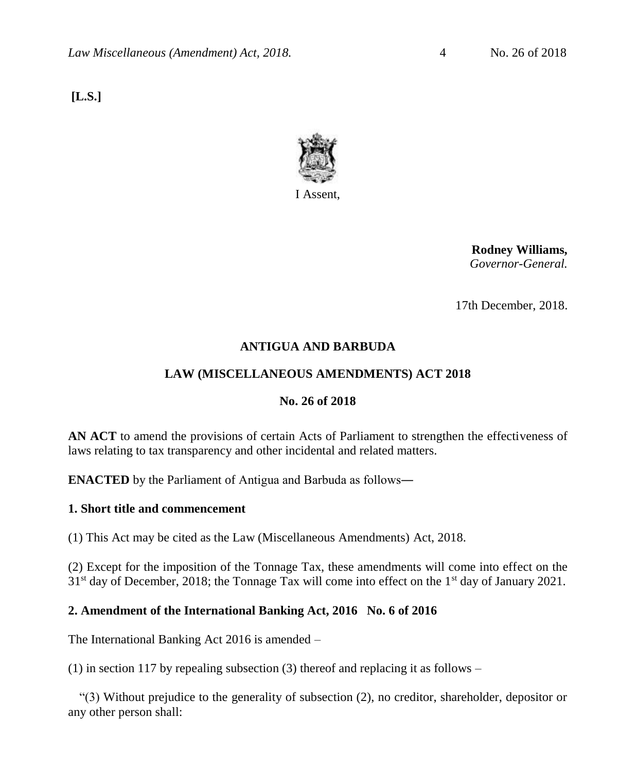**[L.S.]**



**Rodney Williams,** *Governor-General.*

17th December, 2018.

# **ANTIGUA AND BARBUDA**

# **LAW (MISCELLANEOUS AMENDMENTS) ACT 2018**

# **No. 26 of 2018**

**AN ACT** to amend the provisions of certain Acts of Parliament to strengthen the effectiveness of laws relating to tax transparency and other incidental and related matters.

**ENACTED** by the Parliament of Antigua and Barbuda as follows―

# **1. Short title and commencement**

(1) This Act may be cited as the Law (Miscellaneous Amendments) Act, 2018.

(2) Except for the imposition of the Tonnage Tax, these amendments will come into effect on the  $31<sup>st</sup>$  day of December, 2018; the Tonnage Tax will come into effect on the  $1<sup>st</sup>$  day of January 2021.

# **2. Amendment of the International Banking Act, 2016 No. 6 of 2016**

The International Banking Act 2016 is amended –

(1) in section 117 by repealing subsection (3) thereof and replacing it as follows –

"(3) Without prejudice to the generality of subsection (2), no creditor, shareholder, depositor or any other person shall: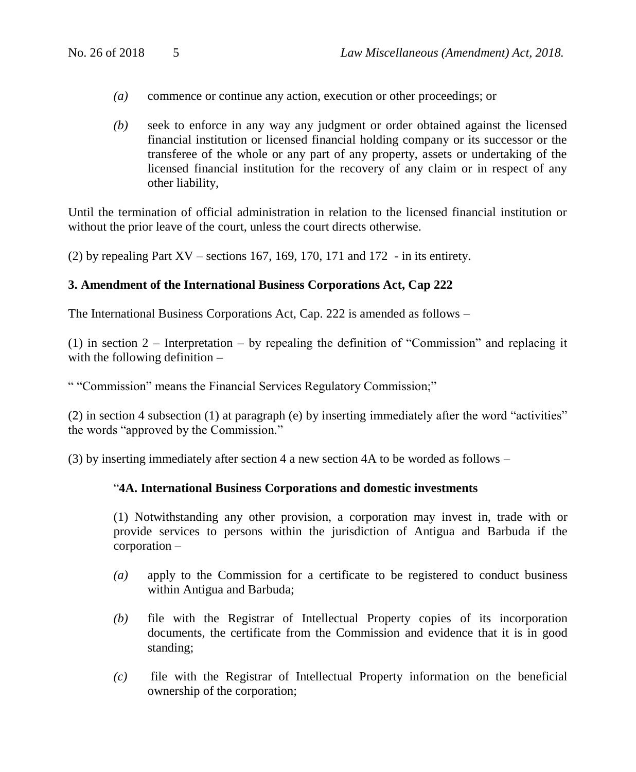- *(a)* commence or continue any action, execution or other proceedings; or
- *(b)* seek to enforce in any way any judgment or order obtained against the licensed financial institution or licensed financial holding company or its successor or the transferee of the whole or any part of any property, assets or undertaking of the licensed financial institution for the recovery of any claim or in respect of any other liability,

Until the termination of official administration in relation to the licensed financial institution or without the prior leave of the court, unless the court directs otherwise.

(2) by repealing Part  $XV$  – sections 167, 169, 170, 171 and 172 - in its entirety.

#### **3. Amendment of the International Business Corporations Act, Cap 222**

The International Business Corporations Act, Cap. 222 is amended as follows –

(1) in section 2 – Interpretation – by repealing the definition of "Commission" and replacing it with the following definition –

" "Commission" means the Financial Services Regulatory Commission;"

(2) in section 4 subsection (1) at paragraph (e) by inserting immediately after the word "activities" the words "approved by the Commission."

(3) by inserting immediately after section 4 a new section 4A to be worded as follows –

#### "**4A. International Business Corporations and domestic investments**

(1) Notwithstanding any other provision, a corporation may invest in, trade with or provide services to persons within the jurisdiction of Antigua and Barbuda if the corporation –

- *(a)* apply to the Commission for a certificate to be registered to conduct business within Antigua and Barbuda;
- *(b)* file with the Registrar of Intellectual Property copies of its incorporation documents, the certificate from the Commission and evidence that it is in good standing;
- *(c)* file with the Registrar of Intellectual Property information on the beneficial ownership of the corporation;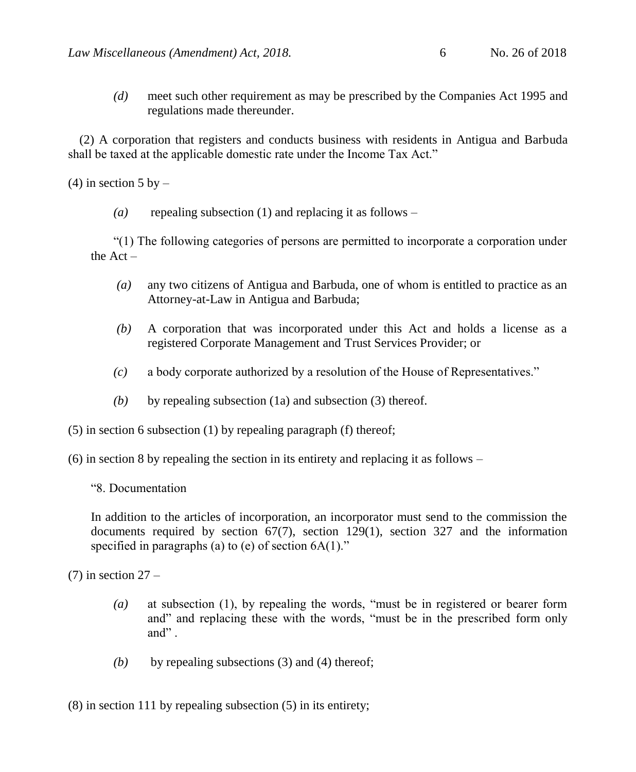*(d)* meet such other requirement as may be prescribed by the Companies Act 1995 and regulations made thereunder.

(2) A corporation that registers and conducts business with residents in Antigua and Barbuda shall be taxed at the applicable domestic rate under the Income Tax Act."

(4) in section  $5$  by  $-$ 

*(a)* repealing subsection (1) and replacing it as follows –

"(1) The following categories of persons are permitted to incorporate a corporation under the Act –

- *(a)* any two citizens of Antigua and Barbuda, one of whom is entitled to practice as an Attorney-at-Law in Antigua and Barbuda;
- *(b)* A corporation that was incorporated under this Act and holds a license as a registered Corporate Management and Trust Services Provider; or
- *(c)* a body corporate authorized by a resolution of the House of Representatives."
- *(b)* by repealing subsection (1a) and subsection (3) thereof.

(5) in section 6 subsection (1) by repealing paragraph (f) thereof;

(6) in section 8 by repealing the section in its entirety and replacing it as follows –

"8. Documentation

In addition to the articles of incorporation, an incorporator must send to the commission the documents required by section  $67(7)$ , section 129(1), section 327 and the information specified in paragraphs (a) to (e) of section  $6A(1)$ ."

 $(7)$  in section  $27 -$ 

- *(a)* at subsection (1), by repealing the words, "must be in registered or bearer form and" and replacing these with the words, "must be in the prescribed form only and" .
- *(b)* by repealing subsections (3) and (4) thereof;

(8) in section 111 by repealing subsection (5) in its entirety;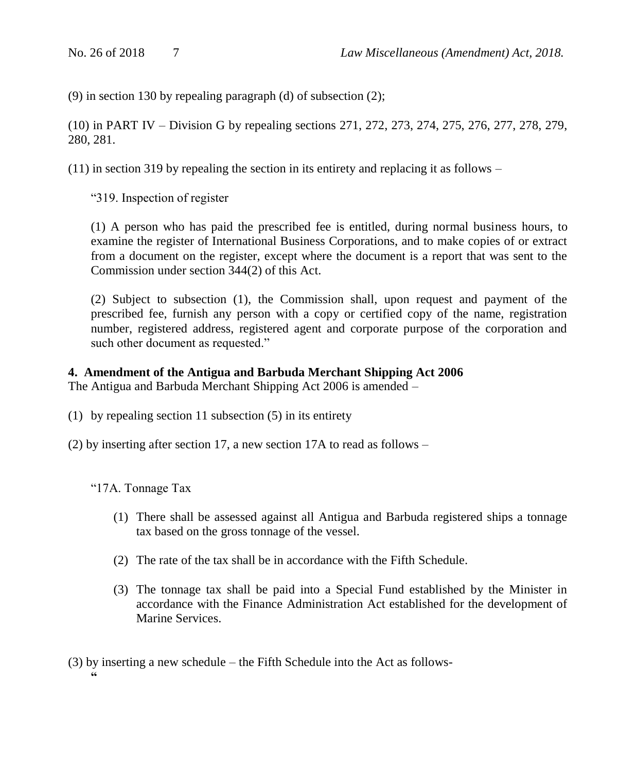(9) in section 130 by repealing paragraph (d) of subsection (2);

(10) in PART IV – Division G by repealing sections 271, 272, 273, 274, 275, 276, 277, 278, 279, 280, 281.

 $(11)$  in section 319 by repealing the section in its entirety and replacing it as follows –

"319. Inspection of register

(1) A person who has paid the prescribed fee is entitled, during normal business hours, to examine the register of International Business Corporations, and to make copies of or extract from a document on the register, except where the document is a report that was sent to the Commission under section 344(2) of this Act.

(2) Subject to subsection (1), the Commission shall, upon request and payment of the prescribed fee, furnish any person with a copy or certified copy of the name, registration number, registered address, registered agent and corporate purpose of the corporation and such other document as requested."

## **4. Amendment of the Antigua and Barbuda Merchant Shipping Act 2006**

The Antigua and Barbuda Merchant Shipping Act 2006 is amended –

- (1) by repealing section 11 subsection (5) in its entirety
- (2) by inserting after section 17, a new section 17A to read as follows –

"17A. Tonnage Tax

- (1) There shall be assessed against all Antigua and Barbuda registered ships a tonnage tax based on the gross tonnage of the vessel.
- (2) The rate of the tax shall be in accordance with the Fifth Schedule.
- (3) The tonnage tax shall be paid into a Special Fund established by the Minister in accordance with the Finance Administration Act established for the development of Marine Services.
- (3) by inserting a new schedule the Fifth Schedule into the Act as follows- **"**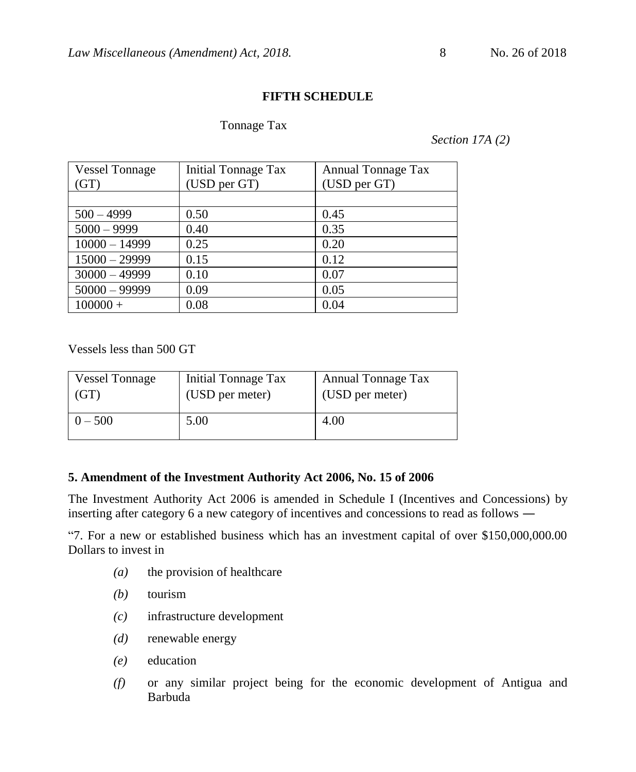## **FIFTH SCHEDULE**

#### Tonnage Tax

#### *Section 17A (2)*

| <b>Vessel Tonnage</b><br>(GT) | <b>Initial Tonnage Tax</b><br>(USD per GT) | Annual Tonnage Tax<br>(USD per GT) |
|-------------------------------|--------------------------------------------|------------------------------------|
|                               |                                            |                                    |
| $500 - 4999$                  | 0.50                                       | 0.45                               |
| $5000 - 9999$                 | 0.40                                       | 0.35                               |
| $10000 - 14999$               | 0.25                                       | 0.20                               |
| $15000 - 29999$               | 0.15                                       | 0.12                               |
| $30000 - 49999$               | 0.10                                       | 0.07                               |
| $50000 - 99999$               | 0.09                                       | 0.05                               |
| $100000 +$                    | 0.08                                       | 0.04                               |

Vessels less than 500 GT

| <b>Vessel Tonnage</b> | Initial Tonnage Tax | Annual Tonnage Tax |
|-----------------------|---------------------|--------------------|
| 'GT                   | (USD per meter)     | (USD per meter)    |
| $0 - 500$             | 5.00                | 4.00               |

#### **5. Amendment of the Investment Authority Act 2006, No. 15 of 2006**

The Investment Authority Act 2006 is amended in Schedule I (Incentives and Concessions) by inserting after category 6 a new category of incentives and concessions to read as follows ―

"7. For a new or established business which has an investment capital of over \$150,000,000.00 Dollars to invest in

- *(a)* the provision of healthcare
- *(b)* tourism
- *(c)* infrastructure development
- *(d)* renewable energy
- *(e)* education
- *(f)* or any similar project being for the economic development of Antigua and Barbuda